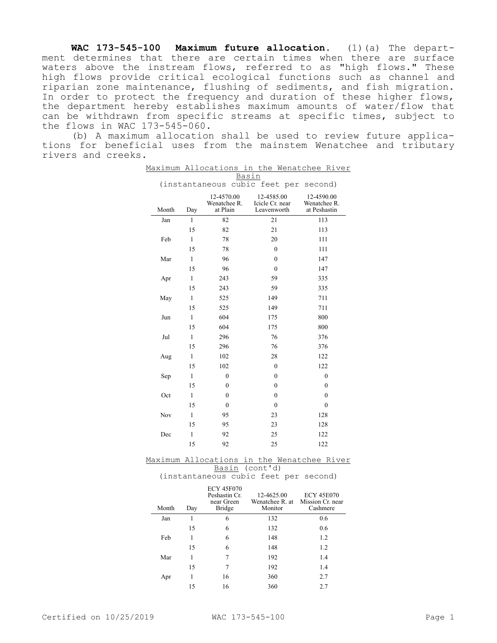**WAC 173-545-100 Maximum future allocation.** (1)(a) The department determines that there are certain times when there are surface waters above the instream flows, referred to as "high flows." These high flows provide critical ecological functions such as channel and riparian zone maintenance, flushing of sediments, and fish migration. In order to protect the frequency and duration of these higher flows, the department hereby establishes maximum amounts of water/flow that can be withdrawn from specific streams at specific times, subject to the flows in WAC 173-545-060.

(b) A maximum allocation shall be used to review future applications for beneficial uses from the mainstem Wenatchee and tributary rivers and creeks.

|                                          |              |                                        |                                              | Maximum Allocations in the Wenatchee River |
|------------------------------------------|--------------|----------------------------------------|----------------------------------------------|--------------------------------------------|
| Basin                                    |              |                                        |                                              |                                            |
| (instantaneous cubic feet per<br>second) |              |                                        |                                              |                                            |
| Month                                    | Day          | 12-4570.00<br>Wenatchee R.<br>at Plain | 12-4585.00<br>Icicle Cr. near<br>Leavenworth | 12-4590.00<br>Wenatchee R.<br>at Peshastin |
| Jan                                      | 1            | 82                                     | 21                                           | 113                                        |
|                                          | 15           | 82                                     | 21                                           | 113                                        |
| Feb                                      | $\mathbf{1}$ | 78                                     | 20                                           | 111                                        |
|                                          | 15           | 78                                     | $\mathbf{0}$                                 | 111                                        |
| Mar                                      | $\mathbf{1}$ | 96                                     | $\mathbf{0}$                                 | 147                                        |
|                                          | 15           | 96                                     | $\mathbf{0}$                                 | 147                                        |
| Apr                                      | $\mathbf{1}$ | 243                                    | 59                                           | 335                                        |
|                                          | 15           | 243                                    | 59                                           | 335                                        |
| May                                      | $\mathbf{1}$ | 525                                    | 149                                          | 711                                        |
|                                          | 15           | 525                                    | 149                                          | 711                                        |
| Jun                                      | $\mathbf{1}$ | 604                                    | 175                                          | 800                                        |
|                                          | 15           | 604                                    | 175                                          | 800                                        |
| Jul                                      | $\mathbf{1}$ | 296                                    | 76                                           | 376                                        |
|                                          | 15           | 296                                    | 76                                           | 376                                        |
| Aug                                      | $\mathbf{1}$ | 102                                    | 28                                           | 122                                        |
|                                          | 15           | 102                                    | $\mathbf{0}$                                 | 122                                        |
| Sep                                      | $\mathbf{1}$ | $\mathbf{0}$                           | $\mathbf{0}$                                 | $\mathbf{0}$                               |
|                                          | 15           | $\mathbf{0}$                           | $\mathbf{0}$                                 | $\mathbf{0}$                               |
| Oct                                      | $\mathbf{1}$ | $\mathbf{0}$                           | $\mathbf{0}$                                 | $\theta$                                   |
|                                          | 15           | $\mathbf{0}$                           | $\theta$                                     | $\theta$                                   |
| Nov                                      | $\mathbf{1}$ | 95                                     | 23                                           | 128                                        |
|                                          | 15           | 95                                     | 23                                           | 128                                        |
| Dec                                      | $\mathbf{1}$ | 92                                     | 25                                           | 122                                        |
|                                          | 15           | 92                                     | 25                                           | 122                                        |
|                                          |              |                                        |                                              |                                            |

Maximum Allocations in the Wenatchee River Basin (cont'd)

(instantaneous cubic feet per second)

| Month | Day | <b>ECY 45F070</b><br>Peshastin Cr.<br>near Green<br>Bridge | 12-4625.00<br>Wenatchee R. at<br>Monitor | <b>ECY 45E070</b><br>Mission Cr. near<br>Cashmere |
|-------|-----|------------------------------------------------------------|------------------------------------------|---------------------------------------------------|
| Jan   |     | 6                                                          | 132                                      | 0.6                                               |
|       | 15  | 6                                                          | 132                                      | 0.6                                               |
| Feb   |     | 6                                                          | 148                                      | 1.2                                               |
|       | 15  | 6                                                          | 148                                      | 1.2                                               |
| Mar   |     | 7                                                          | 192                                      | 1.4                                               |
|       | 15  | 7                                                          | 192                                      | 1.4                                               |
| Apr   |     | 16                                                         | 360                                      | 2.7                                               |
|       | 15  | 16                                                         | 360                                      | 2.7                                               |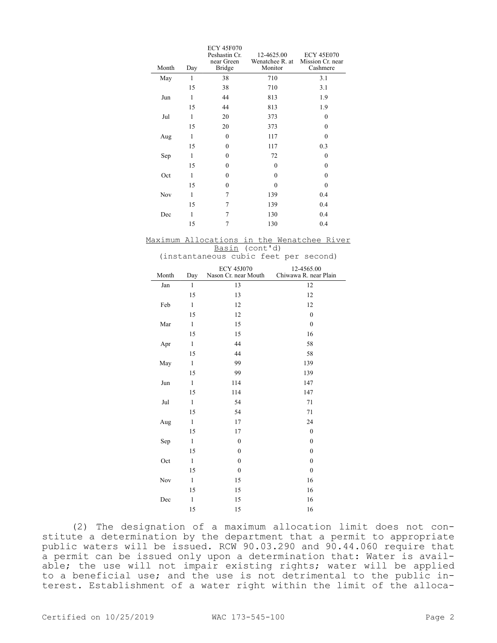|       |              | <b>ECY 45F070</b> |                 |                   |
|-------|--------------|-------------------|-----------------|-------------------|
|       |              | Peshastin Cr.     | 12-4625.00      | <b>ECY 45E070</b> |
|       |              | near Green        | Wenatchee R. at | Mission Cr. near  |
| Month | Day          | Bridge            | Monitor         | Cashmere          |
| May   | 1            | 38                | 710             | 3.1               |
|       | 15           | 38                | 710             | 3.1               |
| Jun   | $\mathbf{1}$ | 44                | 813             | 1.9               |
|       | 15           | 44                | 813             | 1.9               |
| Jul   | $\mathbf{1}$ | 20                | 373             | 0                 |
|       | 15           | 20                | 373             | $\theta$          |
| Aug   | 1            | $\theta$          | 117             | $\theta$          |
|       | 15           | $\theta$          | 117             | 0.3               |
| Sep   | $\mathbf{1}$ | $\theta$          | 72              | $\theta$          |
|       | 15           | $\theta$          | $\theta$        | $\theta$          |
| Oct   | $\mathbf{1}$ | $\theta$          | $\theta$        | $\theta$          |
|       | 15           | $\theta$          | $\theta$        | $\theta$          |
| Nov   | $\mathbf{1}$ | 7                 | 139             | 0.4               |
|       | 15           | 7                 | 139             | 0.4               |
| Dec   | 1            | 7                 | 130             | 0.4               |
|       | 15           | 7                 | 130             | 0.4               |

Maximum Allocations in the Wenatchee River Basin (cont'd)

|       |              | (instantaneous cubic feet per second)     |                                     |
|-------|--------------|-------------------------------------------|-------------------------------------|
| Month | Day          | <b>ECY 45J070</b><br>Nason Cr. near Mouth | 12-4565.00<br>Chiwawa R. near Plain |
| Jan   | $\mathbf{1}$ | 13                                        | 12                                  |
|       | 15           | 13                                        | 12                                  |
| Feb   | $\mathbf{1}$ | 12                                        | 12                                  |
|       | 15           | 12                                        | $\mathbf{0}$                        |
| Mar   | $\mathbf{1}$ | 15                                        | $\mathbf{0}$                        |
|       | 15           | 15                                        | 16                                  |
| Apr   | $\mathbf{1}$ | 44                                        | 58                                  |
|       | 15           | 44                                        | 58                                  |
| May   | $\mathbf{1}$ | 99                                        | 139                                 |
|       | 15           | 99                                        | 139                                 |
| Jun   | $\mathbf{1}$ | 114                                       | 147                                 |
|       | 15           | 114                                       | 147                                 |
| Jul   | $\mathbf{1}$ | 54                                        | 71                                  |
|       | 15           | 54                                        | 71                                  |
| Aug   | $\mathbf{1}$ | 17                                        | 24                                  |
|       | 15           | 17                                        | $\mathbf{0}$                        |
| Sep   | $\mathbf{1}$ | $\mathbf{0}$                              | $\mathbf{0}$                        |
|       | 15           | $\mathbf{0}$                              | $\mathbf{0}$                        |
| Oct   | $\mathbf{1}$ | $\mathbf{0}$                              | $\mathbf{0}$                        |
|       | 15           | $\mathbf{0}$                              | $\mathbf{0}$                        |
| Nov   | $\mathbf{1}$ | 15                                        | 16                                  |
|       | 15           | 15                                        | 16                                  |
| Dec   | $\mathbf{1}$ | 15                                        | 16                                  |
|       | 15           | 15                                        | 16                                  |

(2) The designation of a maximum allocation limit does not constitute a determination by the department that a permit to appropriate public waters will be issued. RCW 90.03.290 and 90.44.060 require that a permit can be issued only upon a determination that: Water is available; the use will not impair existing rights; water will be applied to a beneficial use; and the use is not detrimental to the public interest. Establishment of a water right within the limit of the alloca